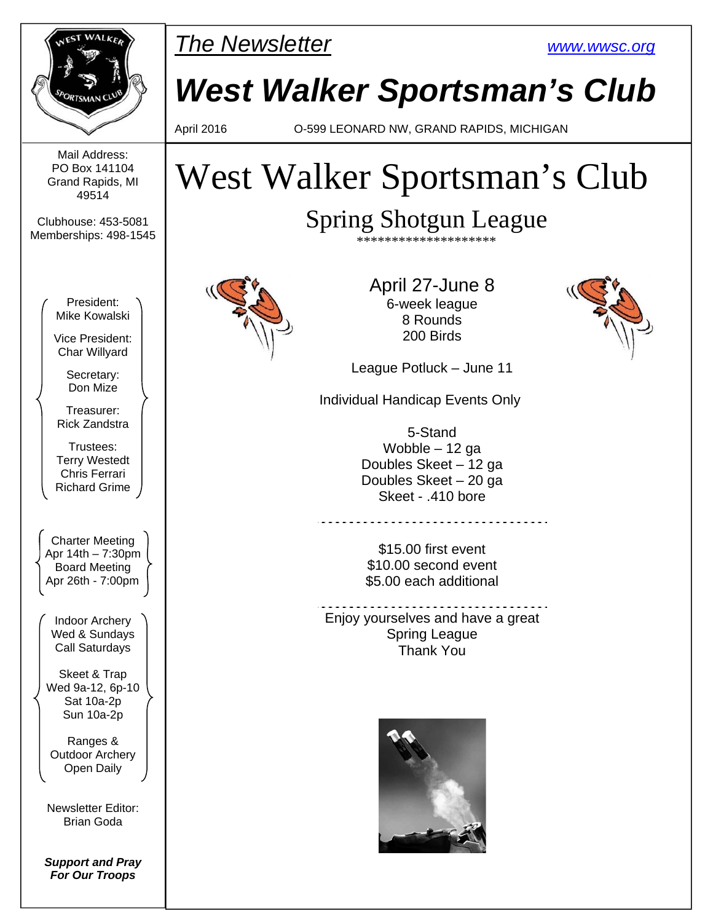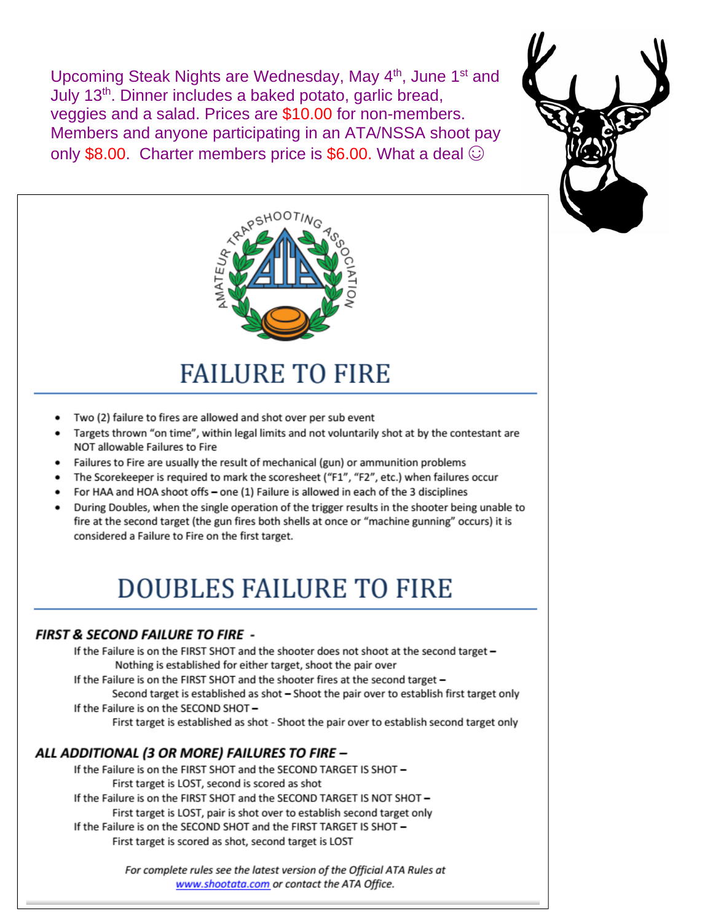Upcoming Steak Nights are Wednesday, May 4th, June 1st and July 13<sup>th</sup>. Dinner includes a baked potato, garlic bread, veggies and a salad. Prices are \$10.00 for non-members. Members and anyone participating in an ATA/NSSA shoot pay only \$8.00. Charter members price is \$6.00. What a deal  $\odot$ 





# **FAILURE TO FIRE**

- Two (2) failure to fires are allowed and shot over per sub event
- Targets thrown "on time", within legal limits and not voluntarily shot at by the contestant are NOT allowable Failures to Fire
- Failures to Fire are usually the result of mechanical (gun) or ammunition problems
- The Scorekeeper is required to mark the scoresheet ("F1", "F2", etc.) when failures occur
- For HAA and HOA shoot offs one (1) Failure is allowed in each of the 3 disciplines
- During Doubles, when the single operation of the trigger results in the shooter being unable to fire at the second target (the gun fires both shells at once or "machine gunning" occurs) it is considered a Failure to Fire on the first target.

## **DOUBLES FAILURE TO FIRE**

#### **FIRST & SECOND FAILURE TO FIRE -**

If the Failure is on the FIRST SHOT and the shooter does not shoot at the second target -Nothing is established for either target, shoot the pair over

If the Failure is on the FIRST SHOT and the shooter fires at the second target -

Second target is established as shot - Shoot the pair over to establish first target only If the Failure is on the SECOND SHOT-

First target is established as shot - Shoot the pair over to establish second target only

#### ALL ADDITIONAL (3 OR MORE) FAILURES TO FIRE -

If the Failure is on the FIRST SHOT and the SECOND TARGET IS SHOT -First target is LOST, second is scored as shot If the Failure is on the FIRST SHOT and the SECOND TARGET IS NOT SHOT -First target is LOST, pair is shot over to establish second target only If the Failure is on the SECOND SHOT and the FIRST TARGET IS SHOT -First target is scored as shot, second target is LOST

> For complete rules see the latest version of the Official ATA Rules at www.shootata.com or contact the ATA Office.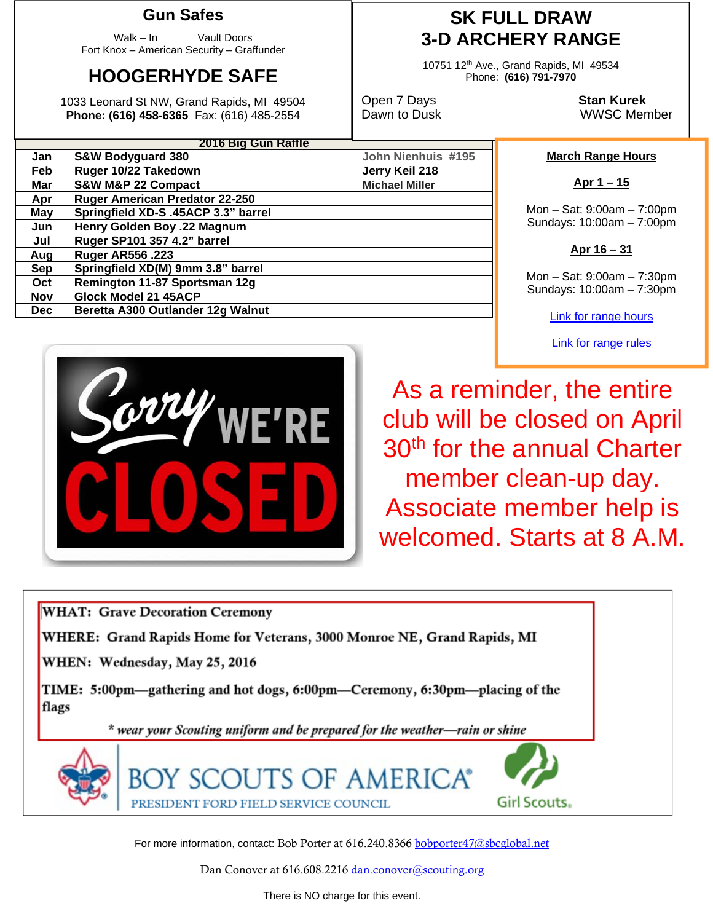### **Gun Safes**

Walk – In Vault Doors Fort Knox – American Security – Graffunder

## **HOOGERHYDE SAFE**

1033 Leonard St NW, Grand Rapids, MI 49504 **Phone: (616) 458-6365** Fax: (616) 485-2554

**Apr Ruger American Predator 22-250 May Springfield XD-S .45ACP 3.3" barrel Jun Henry Golden Boy .22 Magnum Jul Ruger SP101 357 4.2" barrel** 

Sep | Springfield XD(M) 9mm 3.8" barrel **Oct Remington 11-87 Sportsman 12g** 

**Dec** | Beretta A300 Outlander 12g Walnut

**Aug Ruger AR556 .223** 

**Nov Glock Model 21 45ACP** 

**2016 Big Gun Raffle Jan S&W Bodyguard 380 John Nienhuis #195 Feb** Ruger 10/22 Takedown Jerry Keil 218 **Mar S&W M&P 22 Compact COMENT ASSESSED MILLER** Michael Miller

### **SK FULL DRAW 3-D ARCHERY RANGE**

10751 12th Ave., Grand Rapids, MI 49534 Phone: **(616) 791-7970** 

Open 7 Days **Stan Kurek**

Dawn to Dusk WWSC Member

#### **March Range Hours**

**Apr 1 – 15** 

Mon – Sat: 9:00am – 7:00pm Sundays: 10:00am – 7:00pm



Mon – Sat: 9:00am – 7:30pm Sundays: 10:00am – 7:30pm

Link for range hours

Link for range rules



As a reminder, the entire club will be closed on April 30<sup>th</sup> for the annual Charter member clean-up day. Associate member help is welcomed. Starts at 8 A.M.



For more information, contact: Bob Porter at 616.240.8366 bobporter47@sbcglobal.net

Dan Conover at 616.608.2216 dan.conover@scouting.org

There is NO charge for this event.